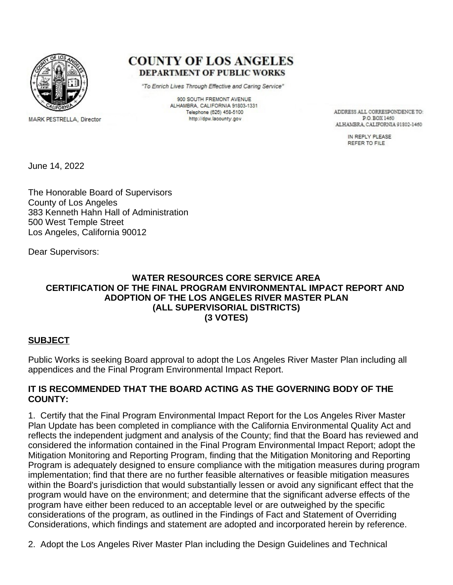

MARK PESTRELLA, Director

**COUNTY OF LOS ANGELES DEPARTMENT OF PUBLIC WORKS** 

"To Enrich Lives Through Effective and Caring Service"

900 SOUTH FREMONT AVENUE ALHAMBRA, CALIFORNIA 91803-1331 Telephone (626) 458-5100 http://dpw.lacounty.gov

ADDRESS ALL CORRESPONDENCE TO: **PO BOX 1460** ALHAMBRA, CALIFORNIA 91802-1460

> IN REPLY PLEASE REFER TO FILE

June 14, 2022

The Honorable Board of Supervisors County of Los Angeles 383 Kenneth Hahn Hall of Administration 500 West Temple Street Los Angeles, California 90012

Dear Supervisors:

### **WATER RESOURCES CORE SERVICE AREA CERTIFICATION OF THE FINAL PROGRAM ENVIRONMENTAL IMPACT REPORT AND ADOPTION OF THE LOS ANGELES RIVER MASTER PLAN (ALL SUPERVISORIAL DISTRICTS) (3 VOTES)**

### **SUBJECT**

Public Works is seeking Board approval to adopt the Los Angeles River Master Plan including all appendices and the Final Program Environmental Impact Report.

### **IT IS RECOMMENDED THAT THE BOARD ACTING AS THE GOVERNING BODY OF THE COUNTY:**

1. Certify that the Final Program Environmental Impact Report for the Los Angeles River Master Plan Update has been completed in compliance with the California Environmental Quality Act and reflects the independent judgment and analysis of the County; find that the Board has reviewed and considered the information contained in the Final Program Environmental Impact Report; adopt the Mitigation Monitoring and Reporting Program, finding that the Mitigation Monitoring and Reporting Program is adequately designed to ensure compliance with the mitigation measures during program implementation; find that there are no further feasible alternatives or feasible mitigation measures within the Board's jurisdiction that would substantially lessen or avoid any significant effect that the program would have on the environment; and determine that the significant adverse effects of the program have either been reduced to an acceptable level or are outweighed by the specific considerations of the program, as outlined in the Findings of Fact and Statement of Overriding Considerations, which findings and statement are adopted and incorporated herein by reference.

2. Adopt the Los Angeles River Master Plan including the Design Guidelines and Technical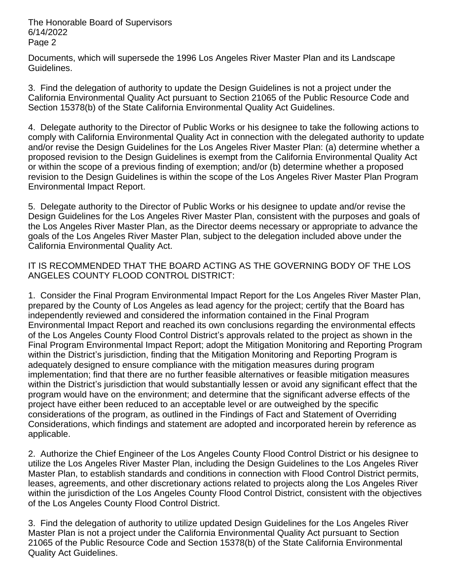Documents, which will supersede the 1996 Los Angeles River Master Plan and its Landscape Guidelines.

3. Find the delegation of authority to update the Design Guidelines is not a project under the California Environmental Quality Act pursuant to Section 21065 of the Public Resource Code and Section 15378(b) of the State California Environmental Quality Act Guidelines.

4. Delegate authority to the Director of Public Works or his designee to take the following actions to comply with California Environmental Quality Act in connection with the delegated authority to update and/or revise the Design Guidelines for the Los Angeles River Master Plan: (a) determine whether a proposed revision to the Design Guidelines is exempt from the California Environmental Quality Act or within the scope of a previous finding of exemption; and/or (b) determine whether a proposed revision to the Design Guidelines is within the scope of the Los Angeles River Master Plan Program Environmental Impact Report.

5. Delegate authority to the Director of Public Works or his designee to update and/or revise the Design Guidelines for the Los Angeles River Master Plan, consistent with the purposes and goals of the Los Angeles River Master Plan, as the Director deems necessary or appropriate to advance the goals of the Los Angeles River Master Plan, subject to the delegation included above under the California Environmental Quality Act.

IT IS RECOMMENDED THAT THE BOARD ACTING AS THE GOVERNING BODY OF THE LOS ANGELES COUNTY FLOOD CONTROL DISTRICT:

1. Consider the Final Program Environmental Impact Report for the Los Angeles River Master Plan, prepared by the County of Los Angeles as lead agency for the project; certify that the Board has independently reviewed and considered the information contained in the Final Program Environmental Impact Report and reached its own conclusions regarding the environmental effects of the Los Angeles County Flood Control District's approvals related to the project as shown in the Final Program Environmental Impact Report; adopt the Mitigation Monitoring and Reporting Program within the District's jurisdiction, finding that the Mitigation Monitoring and Reporting Program is adequately designed to ensure compliance with the mitigation measures during program implementation; find that there are no further feasible alternatives or feasible mitigation measures within the District's jurisdiction that would substantially lessen or avoid any significant effect that the program would have on the environment; and determine that the significant adverse effects of the project have either been reduced to an acceptable level or are outweighed by the specific considerations of the program, as outlined in the Findings of Fact and Statement of Overriding Considerations, which findings and statement are adopted and incorporated herein by reference as applicable.

2. Authorize the Chief Engineer of the Los Angeles County Flood Control District or his designee to utilize the Los Angeles River Master Plan, including the Design Guidelines to the Los Angeles River Master Plan, to establish standards and conditions in connection with Flood Control District permits, leases, agreements, and other discretionary actions related to projects along the Los Angeles River within the jurisdiction of the Los Angeles County Flood Control District, consistent with the objectives of the Los Angeles County Flood Control District.

3. Find the delegation of authority to utilize updated Design Guidelines for the Los Angeles River Master Plan is not a project under the California Environmental Quality Act pursuant to Section 21065 of the Public Resource Code and Section 15378(b) of the State California Environmental Quality Act Guidelines.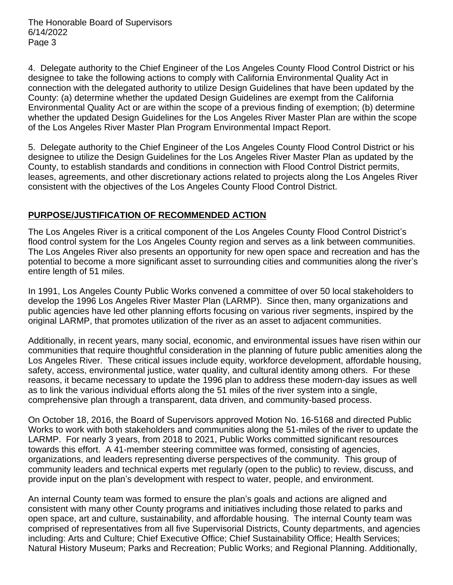4. Delegate authority to the Chief Engineer of the Los Angeles County Flood Control District or his designee to take the following actions to comply with California Environmental Quality Act in connection with the delegated authority to utilize Design Guidelines that have been updated by the County: (a) determine whether the updated Design Guidelines are exempt from the California Environmental Quality Act or are within the scope of a previous finding of exemption; (b) determine whether the updated Design Guidelines for the Los Angeles River Master Plan are within the scope of the Los Angeles River Master Plan Program Environmental Impact Report.

5. Delegate authority to the Chief Engineer of the Los Angeles County Flood Control District or his designee to utilize the Design Guidelines for the Los Angeles River Master Plan as updated by the County, to establish standards and conditions in connection with Flood Control District permits, leases, agreements, and other discretionary actions related to projects along the Los Angeles River consistent with the objectives of the Los Angeles County Flood Control District.

# **PURPOSE/JUSTIFICATION OF RECOMMENDED ACTION**

The Los Angeles River is a critical component of the Los Angeles County Flood Control District's flood control system for the Los Angeles County region and serves as a link between communities. The Los Angeles River also presents an opportunity for new open space and recreation and has the potential to become a more significant asset to surrounding cities and communities along the river's entire length of 51 miles.

In 1991, Los Angeles County Public Works convened a committee of over 50 local stakeholders to develop the 1996 Los Angeles River Master Plan (LARMP). Since then, many organizations and public agencies have led other planning efforts focusing on various river segments, inspired by the original LARMP, that promotes utilization of the river as an asset to adjacent communities.

Additionally, in recent years, many social, economic, and environmental issues have risen within our communities that require thoughtful consideration in the planning of future public amenities along the Los Angeles River. These critical issues include equity, workforce development, affordable housing, safety, access, environmental justice, water quality, and cultural identity among others. For these reasons, it became necessary to update the 1996 plan to address these modern-day issues as well as to link the various individual efforts along the 51 miles of the river system into a single, comprehensive plan through a transparent, data driven, and community-based process.

On October 18, 2016, the Board of Supervisors approved Motion No. 16-5168 and directed Public Works to work with both stakeholders and communities along the 51-miles of the river to update the LARMP. For nearly 3 years, from 2018 to 2021, Public Works committed significant resources towards this effort. A 41-member steering committee was formed, consisting of agencies, organizations, and leaders representing diverse perspectives of the community. This group of community leaders and technical experts met regularly (open to the public) to review, discuss, and provide input on the plan's development with respect to water, people, and environment.

An internal County team was formed to ensure the plan's goals and actions are aligned and consistent with many other County programs and initiatives including those related to parks and open space, art and culture, sustainability, and affordable housing. The internal County team was comprised of representatives from all five Supervisorial Districts, County departments, and agencies including: Arts and Culture; Chief Executive Office; Chief Sustainability Office; Health Services; Natural History Museum; Parks and Recreation; Public Works; and Regional Planning. Additionally,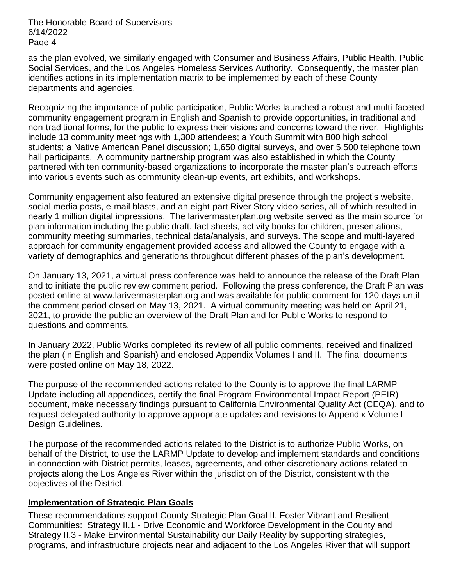as the plan evolved, we similarly engaged with Consumer and Business Affairs, Public Health, Public Social Services, and the Los Angeles Homeless Services Authority. Consequently, the master plan identifies actions in its implementation matrix to be implemented by each of these County departments and agencies.

Recognizing the importance of public participation, Public Works launched a robust and multi-faceted community engagement program in English and Spanish to provide opportunities, in traditional and non-traditional forms, for the public to express their visions and concerns toward the river. Highlights include 13 community meetings with 1,300 attendees; a Youth Summit with 800 high school students; a Native American Panel discussion; 1,650 digital surveys, and over 5,500 telephone town hall participants. A community partnership program was also established in which the County partnered with ten community-based organizations to incorporate the master plan's outreach efforts into various events such as community clean-up events, art exhibits, and workshops.

Community engagement also featured an extensive digital presence through the project's website, social media posts, e-mail blasts, and an eight-part River Story video series, all of which resulted in nearly 1 million digital impressions. The larivermasterplan.org website served as the main source for plan information including the public draft, fact sheets, activity books for children, presentations, community meeting summaries, technical data/analysis, and surveys. The scope and multi-layered approach for community engagement provided access and allowed the County to engage with a variety of demographics and generations throughout different phases of the plan's development.

On January 13, 2021, a virtual press conference was held to announce the release of the Draft Plan and to initiate the public review comment period. Following the press conference, the Draft Plan was posted online at www.larivermasterplan.org and was available for public comment for 120-days until the comment period closed on May 13, 2021. A virtual community meeting was held on April 21, 2021, to provide the public an overview of the Draft Plan and for Public Works to respond to questions and comments.

In January 2022, Public Works completed its review of all public comments, received and finalized the plan (in English and Spanish) and enclosed Appendix Volumes I and II. The final documents were posted online on May 18, 2022.

The purpose of the recommended actions related to the County is to approve the final LARMP Update including all appendices, certify the final Program Environmental Impact Report (PEIR) document, make necessary findings pursuant to California Environmental Quality Act (CEQA), and to request delegated authority to approve appropriate updates and revisions to Appendix Volume I - Design Guidelines.

The purpose of the recommended actions related to the District is to authorize Public Works, on behalf of the District, to use the LARMP Update to develop and implement standards and conditions in connection with District permits, leases, agreements, and other discretionary actions related to projects along the Los Angeles River within the jurisdiction of the District, consistent with the objectives of the District.

### **Implementation of Strategic Plan Goals**

These recommendations support County Strategic Plan Goal II. Foster Vibrant and Resilient Communities: Strategy II.1 - Drive Economic and Workforce Development in the County and Strategy II.3 - Make Environmental Sustainability our Daily Reality by supporting strategies, programs, and infrastructure projects near and adjacent to the Los Angeles River that will support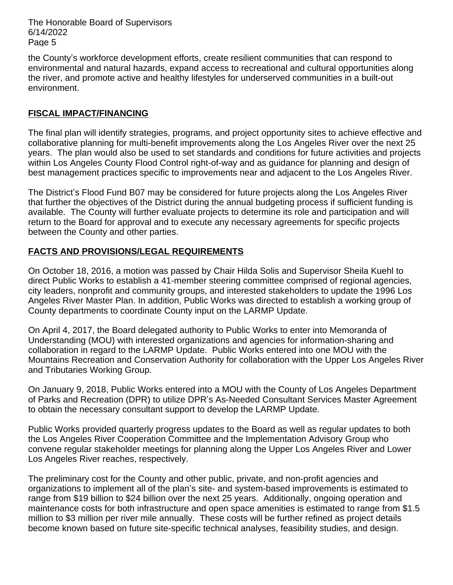the County's workforce development efforts, create resilient communities that can respond to environmental and natural hazards, expand access to recreational and cultural opportunities along the river, and promote active and healthy lifestyles for underserved communities in a built-out environment.

# **FISCAL IMPACT/FINANCING**

The final plan will identify strategies, programs, and project opportunity sites to achieve effective and collaborative planning for multi-benefit improvements along the Los Angeles River over the next 25 years. The plan would also be used to set standards and conditions for future activities and projects within Los Angeles County Flood Control right-of-way and as guidance for planning and design of best management practices specific to improvements near and adjacent to the Los Angeles River.

The District's Flood Fund B07 may be considered for future projects along the Los Angeles River that further the objectives of the District during the annual budgeting process if sufficient funding is available. The County will further evaluate projects to determine its role and participation and will return to the Board for approval and to execute any necessary agreements for specific projects between the County and other parties.

# **FACTS AND PROVISIONS/LEGAL REQUIREMENTS**

On October 18, 2016, a motion was passed by Chair Hilda Solis and Supervisor Sheila Kuehl to direct Public Works to establish a 41-member steering committee comprised of regional agencies, city leaders, nonprofit and community groups, and interested stakeholders to update the 1996 Los Angeles River Master Plan. In addition, Public Works was directed to establish a working group of County departments to coordinate County input on the LARMP Update.

On April 4, 2017, the Board delegated authority to Public Works to enter into Memoranda of Understanding (MOU) with interested organizations and agencies for information-sharing and collaboration in regard to the LARMP Update. Public Works entered into one MOU with the Mountains Recreation and Conservation Authority for collaboration with the Upper Los Angeles River and Tributaries Working Group.

On January 9, 2018, Public Works entered into a MOU with the County of Los Angeles Department of Parks and Recreation (DPR) to utilize DPR's As-Needed Consultant Services Master Agreement to obtain the necessary consultant support to develop the LARMP Update.

Public Works provided quarterly progress updates to the Board as well as regular updates to both the Los Angeles River Cooperation Committee and the Implementation Advisory Group who convene regular stakeholder meetings for planning along the Upper Los Angeles River and Lower Los Angeles River reaches, respectively.

The preliminary cost for the County and other public, private, and non-profit agencies and organizations to implement all of the plan's site- and system-based improvements is estimated to range from \$19 billion to \$24 billion over the next 25 years. Additionally, ongoing operation and maintenance costs for both infrastructure and open space amenities is estimated to range from \$1.5 million to \$3 million per river mile annually. These costs will be further refined as project details become known based on future site-specific technical analyses, feasibility studies, and design.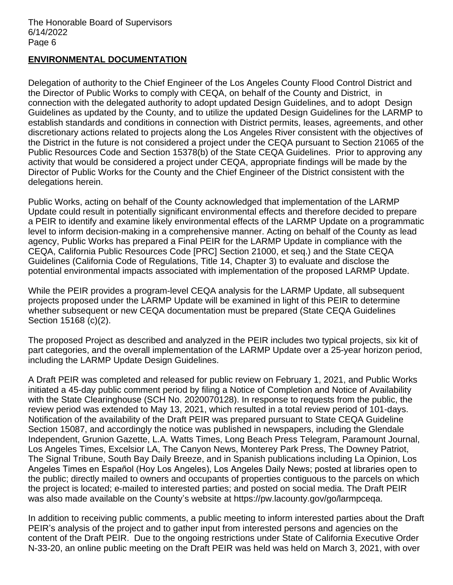## **ENVIRONMENTAL DOCUMENTATION**

Delegation of authority to the Chief Engineer of the Los Angeles County Flood Control District and the Director of Public Works to comply with CEQA, on behalf of the County and District, in connection with the delegated authority to adopt updated Design Guidelines, and to adopt Design Guidelines as updated by the County, and to utilize the updated Design Guidelines for the LARMP to establish standards and conditions in connection with District permits, leases, agreements, and other discretionary actions related to projects along the Los Angeles River consistent with the objectives of the District in the future is not considered a project under the CEQA pursuant to Section 21065 of the Public Resources Code and Section 15378(b) of the State CEQA Guidelines. Prior to approving any activity that would be considered a project under CEQA, appropriate findings will be made by the Director of Public Works for the County and the Chief Engineer of the District consistent with the delegations herein.

Public Works, acting on behalf of the County acknowledged that implementation of the LARMP Update could result in potentially significant environmental effects and therefore decided to prepare a PEIR to identify and examine likely environmental effects of the LARMP Update on a programmatic level to inform decision-making in a comprehensive manner. Acting on behalf of the County as lead agency, Public Works has prepared a Final PEIR for the LARMP Update in compliance with the CEQA, California Public Resources Code [PRC] Section 21000, et seq.) and the State CEQA Guidelines (California Code of Regulations, Title 14, Chapter 3) to evaluate and disclose the potential environmental impacts associated with implementation of the proposed LARMP Update.

While the PEIR provides a program-level CEQA analysis for the LARMP Update, all subsequent projects proposed under the LARMP Update will be examined in light of this PEIR to determine whether subsequent or new CEQA documentation must be prepared (State CEQA Guidelines Section 15168 (c)(2).

The proposed Project as described and analyzed in the PEIR includes two typical projects, six kit of part categories, and the overall implementation of the LARMP Update over a 25-year horizon period, including the LARMP Update Design Guidelines.

A Draft PEIR was completed and released for public review on February 1, 2021, and Public Works initiated a 45-day public comment period by filing a Notice of Completion and Notice of Availability with the State Clearinghouse (SCH No. 2020070128). In response to requests from the public, the review period was extended to May 13, 2021, which resulted in a total review period of 101-days. Notification of the availability of the Draft PEIR was prepared pursuant to State CEQA Guideline Section 15087, and accordingly the notice was published in newspapers, including the Glendale Independent, Grunion Gazette, L.A. Watts Times, Long Beach Press Telegram, Paramount Journal, Los Angeles Times, Excelsior LA, The Canyon News, Monterey Park Press, The Downey Patriot, The Signal Tribune, South Bay Daily Breeze, and in Spanish publications including La Opinion, Los Angeles Times en Español (Hoy Los Angeles), Los Angeles Daily News; posted at libraries open to the public; directly mailed to owners and occupants of properties contiguous to the parcels on which the project is located; e-mailed to interested parties; and posted on social media. The Draft PEIR was also made available on the County's website at https://pw.lacounty.gov/go/larmpceqa.

In addition to receiving public comments, a public meeting to inform interested parties about the Draft PEIR's analysis of the project and to gather input from interested persons and agencies on the content of the Draft PEIR. Due to the ongoing restrictions under State of California Executive Order N-33-20, an online public meeting on the Draft PEIR was held was held on March 3, 2021, with over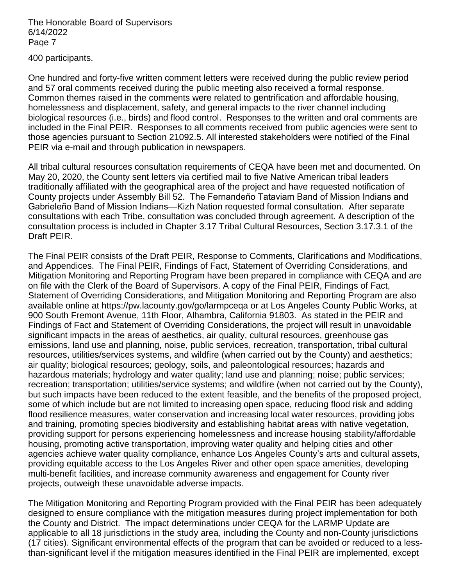400 participants.

One hundred and forty-five written comment letters were received during the public review period and 57 oral comments received during the public meeting also received a formal response. Common themes raised in the comments were related to gentrification and affordable housing, homelessness and displacement, safety, and general impacts to the river channel including biological resources (i.e., birds) and flood control. Responses to the written and oral comments are included in the Final PEIR. Responses to all comments received from public agencies were sent to those agencies pursuant to Section 21092.5. All interested stakeholders were notified of the Final PEIR via e-mail and through publication in newspapers.

All tribal cultural resources consultation requirements of CEQA have been met and documented. On May 20, 2020, the County sent letters via certified mail to five Native American tribal leaders traditionally affiliated with the geographical area of the project and have requested notification of County projects under Assembly Bill 52. The Fernandeño Tataviam Band of Mission Indians and Gabrieleño Band of Mission Indians—Kizh Nation requested formal consultation. After separate consultations with each Tribe, consultation was concluded through agreement. A description of the consultation process is included in Chapter 3.17 Tribal Cultural Resources, Section 3.17.3.1 of the Draft PEIR.

The Final PEIR consists of the Draft PEIR, Response to Comments, Clarifications and Modifications, and Appendices. The Final PEIR, Findings of Fact, Statement of Overriding Considerations, and Mitigation Monitoring and Reporting Program have been prepared in compliance with CEQA and are on file with the Clerk of the Board of Supervisors. A copy of the Final PEIR, Findings of Fact, Statement of Overriding Considerations, and Mitigation Monitoring and Reporting Program are also available online at https://pw.lacounty.gov/go/larmpceqa or at Los Angeles County Public Works, at 900 South Fremont Avenue, 11th Floor, Alhambra, California 91803. As stated in the PEIR and Findings of Fact and Statement of Overriding Considerations, the project will result in unavoidable significant impacts in the areas of aesthetics, air quality, cultural resources, greenhouse gas emissions, land use and planning, noise, public services, recreation, transportation, tribal cultural resources, utilities/services systems, and wildfire (when carried out by the County) and aesthetics; air quality; biological resources; geology, soils, and paleontological resources; hazards and hazardous materials; hydrology and water quality; land use and planning; noise; public services; recreation; transportation; utilities/service systems; and wildfire (when not carried out by the County), but such impacts have been reduced to the extent feasible, and the benefits of the proposed project, some of which include but are not limited to increasing open space, reducing flood risk and adding flood resilience measures, water conservation and increasing local water resources, providing jobs and training, promoting species biodiversity and establishing habitat areas with native vegetation, providing support for persons experiencing homelessness and increase housing stability/affordable housing, promoting active transportation, improving water quality and helping cities and other agencies achieve water quality compliance, enhance Los Angeles County's arts and cultural assets, providing equitable access to the Los Angeles River and other open space amenities, developing multi-benefit facilities, and increase community awareness and engagement for County river projects, outweigh these unavoidable adverse impacts.

The Mitigation Monitoring and Reporting Program provided with the Final PEIR has been adequately designed to ensure compliance with the mitigation measures during project implementation for both the County and District. The impact determinations under CEQA for the LARMP Update are applicable to all 18 jurisdictions in the study area, including the County and non-County jurisdictions (17 cities). Significant environmental effects of the program that can be avoided or reduced to a lessthan-significant level if the mitigation measures identified in the Final PEIR are implemented, except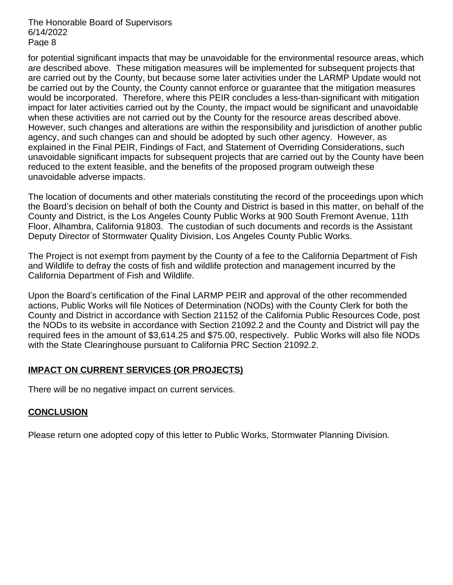for potential significant impacts that may be unavoidable for the environmental resource areas, which are described above. These mitigation measures will be implemented for subsequent projects that are carried out by the County, but because some later activities under the LARMP Update would not be carried out by the County, the County cannot enforce or guarantee that the mitigation measures would be incorporated. Therefore, where this PEIR concludes a less-than-significant with mitigation impact for later activities carried out by the County, the impact would be significant and unavoidable when these activities are not carried out by the County for the resource areas described above. However, such changes and alterations are within the responsibility and jurisdiction of another public agency, and such changes can and should be adopted by such other agency. However, as explained in the Final PEIR, Findings of Fact, and Statement of Overriding Considerations, such unavoidable significant impacts for subsequent projects that are carried out by the County have been reduced to the extent feasible, and the benefits of the proposed program outweigh these unavoidable adverse impacts.

The location of documents and other materials constituting the record of the proceedings upon which the Board's decision on behalf of both the County and District is based in this matter, on behalf of the County and District, is the Los Angeles County Public Works at 900 South Fremont Avenue, 11th Floor, Alhambra, California 91803. The custodian of such documents and records is the Assistant Deputy Director of Stormwater Quality Division, Los Angeles County Public Works.

The Project is not exempt from payment by the County of a fee to the California Department of Fish and Wildlife to defray the costs of fish and wildlife protection and management incurred by the California Department of Fish and Wildlife.

Upon the Board's certification of the Final LARMP PEIR and approval of the other recommended actions, Public Works will file Notices of Determination (NODs) with the County Clerk for both the County and District in accordance with Section 21152 of the California Public Resources Code, post the NODs to its website in accordance with Section 21092.2 and the County and District will pay the required fees in the amount of \$3,614.25 and \$75.00, respectively. Public Works will also file NODs with the State Clearinghouse pursuant to California PRC Section 21092.2.

### **IMPACT ON CURRENT SERVICES (OR PROJECTS)**

There will be no negative impact on current services.

### **CONCLUSION**

Please return one adopted copy of this letter to Public Works, Stormwater Planning Division.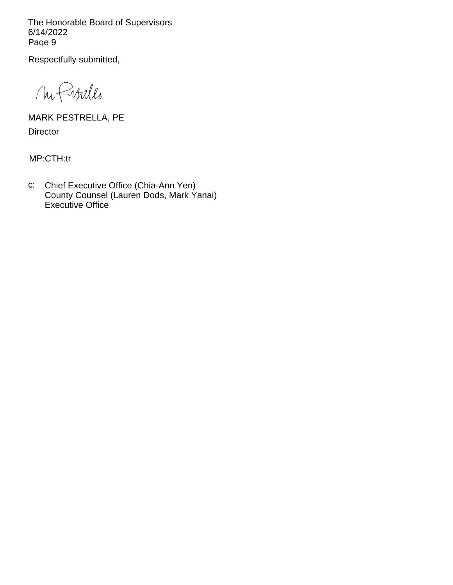Respectfully submitted,

M Finelle

MARK PESTRELLA, PE **Director** 

MP:CTH:tr

c: Chief Executive Office (Chia-Ann Yen) County Counsel (Lauren Dods, Mark Yanai) Executive Office